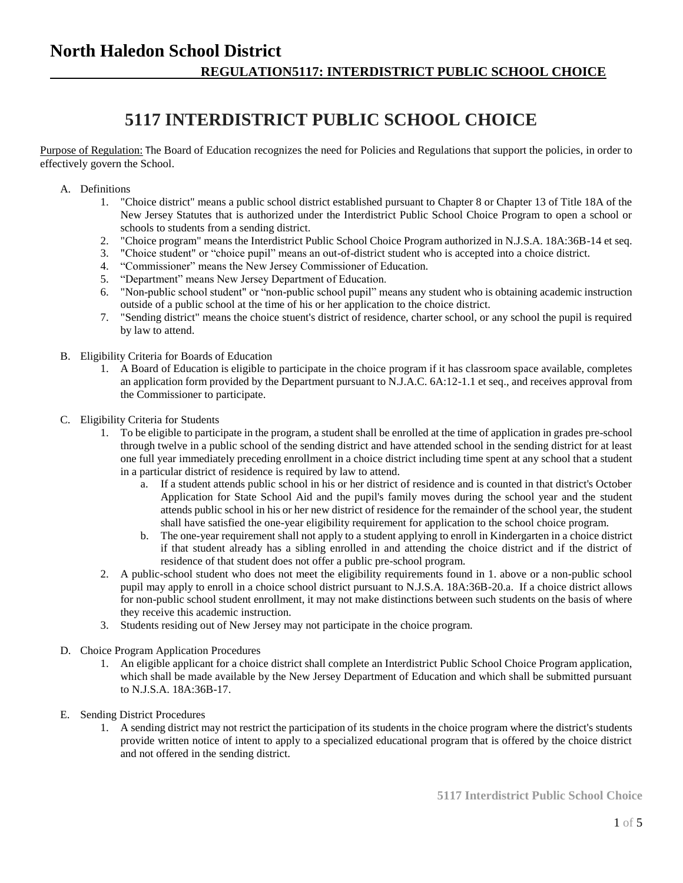# **North Haledon School District REGULATION5117: INTERDISTRICT PUBLIC SCHOOL CHOICE**

# **5117 INTERDISTRICT PUBLIC SCHOOL CHOICE**

Purpose of Regulation: The Board of Education recognizes the need for Policies and Regulations that support the policies, in order to effectively govern the School.

- A. Definitions
	- 1. "Choice district" means a public school district established pursuant to Chapter 8 or Chapter 13 of Title 18A of the New Jersey Statutes that is authorized under the Interdistrict Public School Choice Program to open a school or schools to students from a sending district.
	- 2. "Choice program" means the Interdistrict Public School Choice Program authorized in N.J.S.A. 18A:36B-14 et seq.
	- 3. "Choice student" or "choice pupil" means an out-of-district student who is accepted into a choice district.
	- 4. "Commissioner" means the New Jersey Commissioner of Education.
	- 5. "Department" means New Jersey Department of Education.
	- 6. "Non-public school student" or "non-public school pupil" means any student who is obtaining academic instruction outside of a public school at the time of his or her application to the choice district.
	- 7. "Sending district" means the choice stuent's district of residence, charter school, or any school the pupil is required by law to attend.
- B. Eligibility Criteria for Boards of Education
	- 1. A Board of Education is eligible to participate in the choice program if it has classroom space available, completes an application form provided by the Department pursuant to N.J.A.C. 6A:12-1.1 et seq., and receives approval from the Commissioner to participate.
- C. Eligibility Criteria for Students
	- 1. To be eligible to participate in the program, a student shall be enrolled at the time of application in grades pre-school through twelve in a public school of the sending district and have attended school in the sending district for at least one full year immediately preceding enrollment in a choice district including time spent at any school that a student in a particular district of residence is required by law to attend.
		- a. If a student attends public school in his or her district of residence and is counted in that district's October Application for State School Aid and the pupil's family moves during the school year and the student attends public school in his or her new district of residence for the remainder of the school year, the student shall have satisfied the one-year eligibility requirement for application to the school choice program.
		- b. The one-year requirement shall not apply to a student applying to enroll in Kindergarten in a choice district if that student already has a sibling enrolled in and attending the choice district and if the district of residence of that student does not offer a public pre-school program.
	- 2. A public-school student who does not meet the eligibility requirements found in 1. above or a non-public school pupil may apply to enroll in a choice school district pursuant to N.J.S.A. 18A:36B-20.a. If a choice district allows for non-public school student enrollment, it may not make distinctions between such students on the basis of where they receive this academic instruction.
	- 3. Students residing out of New Jersey may not participate in the choice program.
- D. Choice Program Application Procedures
	- 1. An eligible applicant for a choice district shall complete an Interdistrict Public School Choice Program application, which shall be made available by the New Jersey Department of Education and which shall be submitted pursuant to N.J.S.A. 18A:36B-17.
- E. Sending District Procedures
	- 1. A sending district may not restrict the participation of its students in the choice program where the district's students provide written notice of intent to apply to a specialized educational program that is offered by the choice district and not offered in the sending district.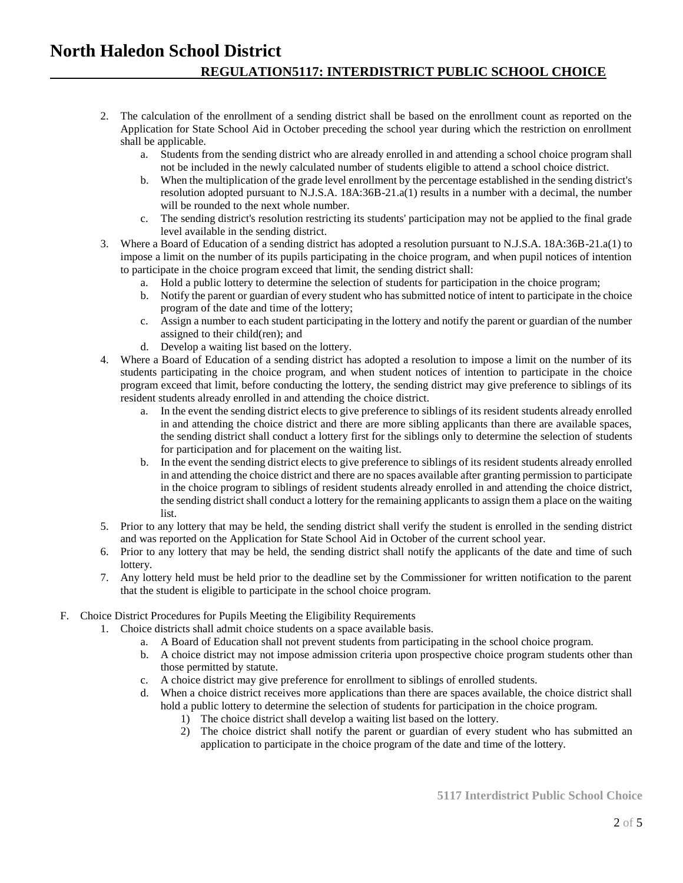### **North Haledon School District REGULATION5117: INTERDISTRICT PUBLIC SCHOOL CHOICE**

- 2. The calculation of the enrollment of a sending district shall be based on the enrollment count as reported on the Application for State School Aid in October preceding the school year during which the restriction on enrollment shall be applicable.
	- a. Students from the sending district who are already enrolled in and attending a school choice program shall not be included in the newly calculated number of students eligible to attend a school choice district.
	- b. When the multiplication of the grade level enrollment by the percentage established in the sending district's resolution adopted pursuant to N.J.S.A. 18A:36B-21.a(1) results in a number with a decimal, the number will be rounded to the next whole number.
	- c. The sending district's resolution restricting its students' participation may not be applied to the final grade level available in the sending district.
- 3. Where a Board of Education of a sending district has adopted a resolution pursuant to N.J.S.A. 18A:36B-21.a(1) to impose a limit on the number of its pupils participating in the choice program, and when pupil notices of intention to participate in the choice program exceed that limit, the sending district shall:
	- a. Hold a public lottery to determine the selection of students for participation in the choice program;
	- b. Notify the parent or guardian of every student who has submitted notice of intent to participate in the choice program of the date and time of the lottery;
	- c. Assign a number to each student participating in the lottery and notify the parent or guardian of the number assigned to their child(ren); and
	- d. Develop a waiting list based on the lottery.
- 4. Where a Board of Education of a sending district has adopted a resolution to impose a limit on the number of its students participating in the choice program, and when student notices of intention to participate in the choice program exceed that limit, before conducting the lottery, the sending district may give preference to siblings of its resident students already enrolled in and attending the choice district.
	- a. In the event the sending district elects to give preference to siblings of its resident students already enrolled in and attending the choice district and there are more sibling applicants than there are available spaces, the sending district shall conduct a lottery first for the siblings only to determine the selection of students for participation and for placement on the waiting list.
	- b. In the event the sending district elects to give preference to siblings of its resident students already enrolled in and attending the choice district and there are no spaces available after granting permission to participate in the choice program to siblings of resident students already enrolled in and attending the choice district, the sending district shall conduct a lottery for the remaining applicants to assign them a place on the waiting list.
- 5. Prior to any lottery that may be held, the sending district shall verify the student is enrolled in the sending district and was reported on the Application for State School Aid in October of the current school year.
- 6. Prior to any lottery that may be held, the sending district shall notify the applicants of the date and time of such lottery.
- 7. Any lottery held must be held prior to the deadline set by the Commissioner for written notification to the parent that the student is eligible to participate in the school choice program.

#### F. Choice District Procedures for Pupils Meeting the Eligibility Requirements

- 1. Choice districts shall admit choice students on a space available basis.
	- a. A Board of Education shall not prevent students from participating in the school choice program.
	- b. A choice district may not impose admission criteria upon prospective choice program students other than those permitted by statute.
	- c. A choice district may give preference for enrollment to siblings of enrolled students.
	- d. When a choice district receives more applications than there are spaces available, the choice district shall hold a public lottery to determine the selection of students for participation in the choice program.
		- 1) The choice district shall develop a waiting list based on the lottery.
		- 2) The choice district shall notify the parent or guardian of every student who has submitted an application to participate in the choice program of the date and time of the lottery.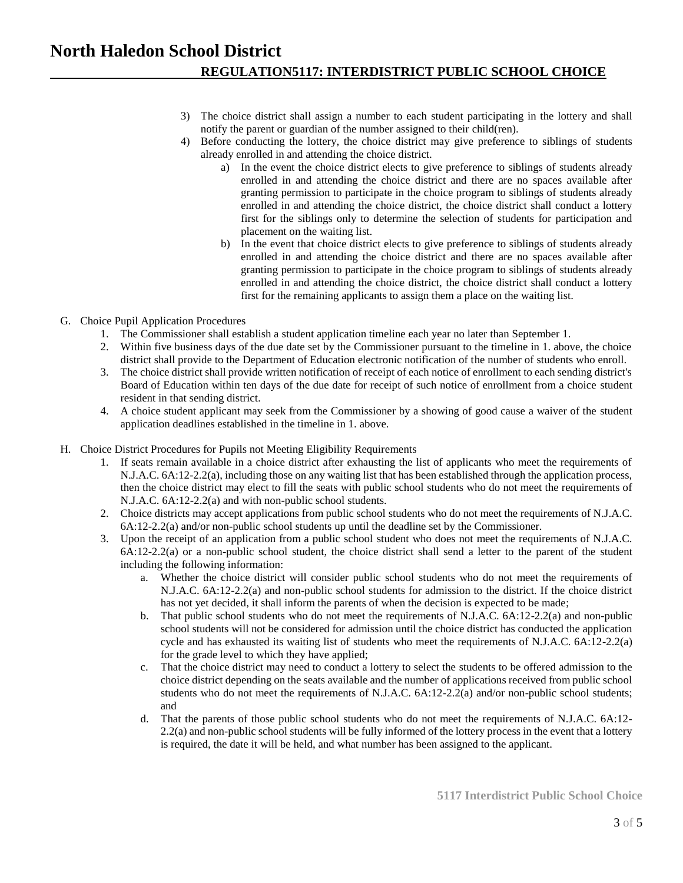- 3) The choice district shall assign a number to each student participating in the lottery and shall notify the parent or guardian of the number assigned to their child(ren).
- 4) Before conducting the lottery, the choice district may give preference to siblings of students already enrolled in and attending the choice district.
	- a) In the event the choice district elects to give preference to siblings of students already enrolled in and attending the choice district and there are no spaces available after granting permission to participate in the choice program to siblings of students already enrolled in and attending the choice district, the choice district shall conduct a lottery first for the siblings only to determine the selection of students for participation and placement on the waiting list.
	- b) In the event that choice district elects to give preference to siblings of students already enrolled in and attending the choice district and there are no spaces available after granting permission to participate in the choice program to siblings of students already enrolled in and attending the choice district, the choice district shall conduct a lottery first for the remaining applicants to assign them a place on the waiting list.
- G. Choice Pupil Application Procedures
	- 1. The Commissioner shall establish a student application timeline each year no later than September 1.
	- 2. Within five business days of the due date set by the Commissioner pursuant to the timeline in 1. above, the choice district shall provide to the Department of Education electronic notification of the number of students who enroll.
	- 3. The choice district shall provide written notification of receipt of each notice of enrollment to each sending district's Board of Education within ten days of the due date for receipt of such notice of enrollment from a choice student resident in that sending district.
	- 4. A choice student applicant may seek from the Commissioner by a showing of good cause a waiver of the student application deadlines established in the timeline in 1. above.
- H. Choice District Procedures for Pupils not Meeting Eligibility Requirements
	- 1. If seats remain available in a choice district after exhausting the list of applicants who meet the requirements of N.J.A.C. 6A:12-2.2(a), including those on any waiting list that has been established through the application process, then the choice district may elect to fill the seats with public school students who do not meet the requirements of N.J.A.C. 6A:12-2.2(a) and with non-public school students.
	- 2. Choice districts may accept applications from public school students who do not meet the requirements of N.J.A.C. 6A:12-2.2(a) and/or non-public school students up until the deadline set by the Commissioner.
	- 3. Upon the receipt of an application from a public school student who does not meet the requirements of N.J.A.C. 6A:12-2.2(a) or a non-public school student, the choice district shall send a letter to the parent of the student including the following information:
		- a. Whether the choice district will consider public school students who do not meet the requirements of N.J.A.C. 6A:12-2.2(a) and non-public school students for admission to the district. If the choice district has not yet decided, it shall inform the parents of when the decision is expected to be made;
		- b. That public school students who do not meet the requirements of N.J.A.C. 6A:12-2.2(a) and non-public school students will not be considered for admission until the choice district has conducted the application cycle and has exhausted its waiting list of students who meet the requirements of N.J.A.C. 6A:12-2.2(a) for the grade level to which they have applied;
		- c. That the choice district may need to conduct a lottery to select the students to be offered admission to the choice district depending on the seats available and the number of applications received from public school students who do not meet the requirements of N.J.A.C. 6A:12-2.2(a) and/or non-public school students; and
		- d. That the parents of those public school students who do not meet the requirements of N.J.A.C. 6A:12- 2.2(a) and non-public school students will be fully informed of the lottery process in the event that a lottery is required, the date it will be held, and what number has been assigned to the applicant.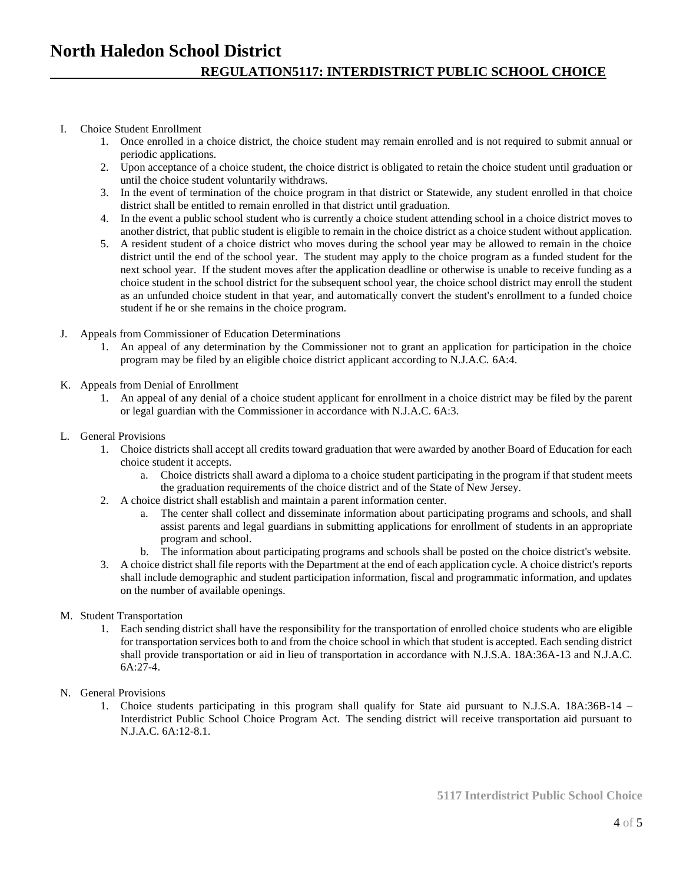#### I. Choice Student Enrollment

- 1. Once enrolled in a choice district, the choice student may remain enrolled and is not required to submit annual or periodic applications.
- 2. Upon acceptance of a choice student, the choice district is obligated to retain the choice student until graduation or until the choice student voluntarily withdraws.
- 3. In the event of termination of the choice program in that district or Statewide, any student enrolled in that choice district shall be entitled to remain enrolled in that district until graduation.
- 4. In the event a public school student who is currently a choice student attending school in a choice district moves to another district, that public student is eligible to remain in the choice district as a choice student without application.
- 5. A resident student of a choice district who moves during the school year may be allowed to remain in the choice district until the end of the school year. The student may apply to the choice program as a funded student for the next school year. If the student moves after the application deadline or otherwise is unable to receive funding as a choice student in the school district for the subsequent school year, the choice school district may enroll the student as an unfunded choice student in that year, and automatically convert the student's enrollment to a funded choice student if he or she remains in the choice program.
- J. Appeals from Commissioner of Education Determinations
	- 1. An appeal of any determination by the Commissioner not to grant an application for participation in the choice program may be filed by an eligible choice district applicant according to N.J.A.C. 6A:4.
- K. Appeals from Denial of Enrollment
	- 1. An appeal of any denial of a choice student applicant for enrollment in a choice district may be filed by the parent or legal guardian with the Commissioner in accordance with N.J.A.C. 6A:3.
- L. General Provisions
	- 1. Choice districts shall accept all credits toward graduation that were awarded by another Board of Education for each choice student it accepts.
		- a. Choice districts shall award a diploma to a choice student participating in the program if that student meets the graduation requirements of the choice district and of the State of New Jersey.
	- 2. A choice district shall establish and maintain a parent information center.
		- a. The center shall collect and disseminate information about participating programs and schools, and shall assist parents and legal guardians in submitting applications for enrollment of students in an appropriate program and school.
		- b. The information about participating programs and schools shall be posted on the choice district's website.
	- 3. A choice district shall file reports with the Department at the end of each application cycle. A choice district's reports shall include demographic and student participation information, fiscal and programmatic information, and updates on the number of available openings.
- M. Student Transportation
	- 1. Each sending district shall have the responsibility for the transportation of enrolled choice students who are eligible for transportation services both to and from the choice school in which that student is accepted. Each sending district shall provide transportation or aid in lieu of transportation in accordance with N.J.S.A. 18A:36A-13 and N.J.A.C. 6A:27-4.
- N. General Provisions
	- 1. Choice students participating in this program shall qualify for State aid pursuant to N.J.S.A. 18A:36B-14 Interdistrict Public School Choice Program Act. The sending district will receive transportation aid pursuant to N.J.A.C. 6A:12-8.1.